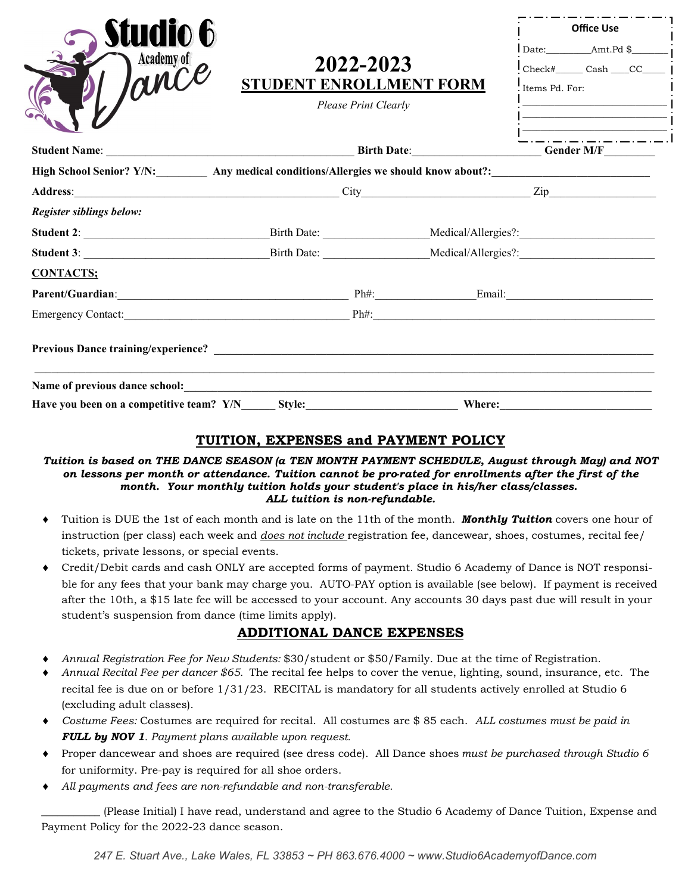|                                |                                                              | <b>Office Use</b> |                                                                                                                                                                                                                                                                                                                                                                                                                                                                                                                                                                                                                                                                                                                                                                                                                                                                                                   |
|--------------------------------|--------------------------------------------------------------|-------------------|---------------------------------------------------------------------------------------------------------------------------------------------------------------------------------------------------------------------------------------------------------------------------------------------------------------------------------------------------------------------------------------------------------------------------------------------------------------------------------------------------------------------------------------------------------------------------------------------------------------------------------------------------------------------------------------------------------------------------------------------------------------------------------------------------------------------------------------------------------------------------------------------------|
|                                |                                                              |                   |                                                                                                                                                                                                                                                                                                                                                                                                                                                                                                                                                                                                                                                                                                                                                                                                                                                                                                   |
|                                |                                                              |                   |                                                                                                                                                                                                                                                                                                                                                                                                                                                                                                                                                                                                                                                                                                                                                                                                                                                                                                   |
|                                |                                                              |                   |                                                                                                                                                                                                                                                                                                                                                                                                                                                                                                                                                                                                                                                                                                                                                                                                                                                                                                   |
|                                |                                                              |                   |                                                                                                                                                                                                                                                                                                                                                                                                                                                                                                                                                                                                                                                                                                                                                                                                                                                                                                   |
|                                |                                                              |                   |                                                                                                                                                                                                                                                                                                                                                                                                                                                                                                                                                                                                                                                                                                                                                                                                                                                                                                   |
|                                |                                                              |                   |                                                                                                                                                                                                                                                                                                                                                                                                                                                                                                                                                                                                                                                                                                                                                                                                                                                                                                   |
|                                |                                                              |                   |                                                                                                                                                                                                                                                                                                                                                                                                                                                                                                                                                                                                                                                                                                                                                                                                                                                                                                   |
|                                |                                                              |                   |                                                                                                                                                                                                                                                                                                                                                                                                                                                                                                                                                                                                                                                                                                                                                                                                                                                                                                   |
|                                |                                                              |                   |                                                                                                                                                                                                                                                                                                                                                                                                                                                                                                                                                                                                                                                                                                                                                                                                                                                                                                   |
|                                |                                                              |                   |                                                                                                                                                                                                                                                                                                                                                                                                                                                                                                                                                                                                                                                                                                                                                                                                                                                                                                   |
|                                |                                                              |                   |                                                                                                                                                                                                                                                                                                                                                                                                                                                                                                                                                                                                                                                                                                                                                                                                                                                                                                   |
| Name of previous dance school: | 2022-2023<br>STUDENT ENROLLMENT FORM<br>Please Print Clearly |                   | $\text{Check#}\_\text{case}$ Cash $\_\text{CC}\_\text{case}$<br>Items Pd. For:<br><u> 1989 - Johann John Stone, markin film yn y brenin y brenin y brenin y brenin y brenin y brenin y brenin y br</u><br><u> 1989 - Johann Barn, mars ann an t-Amhair an t-A</u><br>High School Senior? Y/N: Any medical conditions/Allergies we should know about?: 1992. [1] Any medical conditions/Allergies we should know about?:<br>Parent/Guardian: Email: Email: Email: Email: Email: Email: Email: Email: Email: Email: Email: Email: Email: Email: Email: Email: Email: Email: Email: Email: Email: Email: Email: Email: Email: Email: Email: Email: Email: Em<br>Emergency Contact: <u>Contaction Contaction Contactive Contactive Contactive Contactive Contactive Contactive Contactive Contactive Contactive Contactive Contactive Contactive Contactive Contactive Contactive Contactive Cont</u> |

#### **TUITION, EXPENSES and PAYMENT POLICY**

#### *Tuition is based on THE DANCE SEASON (a TEN MONTH PAYMENT SCHEDULE, August through May) and NOT on lessons per month or attendance. Tuition cannot be pro-rated for enrollments after the first of the month. Your monthly tuition holds your student's place in his/her class/classes. ALL tuition is non-refundable.*

- Tuition is DUE the 1st of each month and is late on the 11th of the month. *Monthly Tuition* covers one hour of instruction (per class) each week and *does not include* registration fee, dancewear, shoes, costumes, recital fee/ tickets, private lessons, or special events.
- Credit/Debit cards and cash ONLY are accepted forms of payment. Studio 6 Academy of Dance is NOT responsible for any fees that your bank may charge you. AUTO-PAY option is available (see below). If payment is received after the 10th, a \$15 late fee will be accessed to your account. Any accounts 30 days past due will result in your student's suspension from dance (time limits apply).

### **ADDITIONAL DANCE EXPENSES**

- *Annual Registration Fee for New Students:* \$30/student or \$50/Family. Due at the time of Registration.
- *Annual Recital Fee per dancer \$65.* The recital fee helps to cover the venue, lighting, sound, insurance, etc. The recital fee is due on or before 1/31/23. RECITAL is mandatory for all students actively enrolled at Studio 6 (excluding adult classes).
- *Costume Fees:* Costumes are required for recital. All costumes are \$ 85 each. *ALL costumes must be paid in FULL by NOV 1. Payment plans available upon request.*
- Proper dancewear and shoes are required (see dress code). All Dance shoes *must be purchased through Studio 6*  for uniformity. Pre-pay is required for all shoe orders.
- *All payments and fees are non-refundable and non-transferable.*

\_\_\_\_\_\_\_\_\_\_\_ (Please Initial) I have read, understand and agree to the Studio 6 Academy of Dance Tuition, Expense and Payment Policy for the 2022-23 dance season.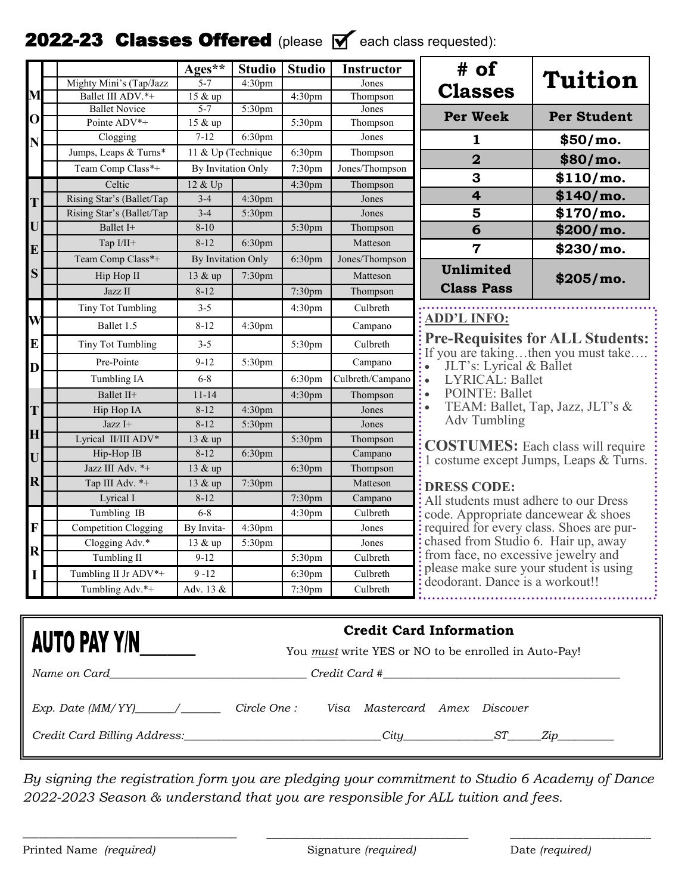## **2022-23 Classes Offered** (please  $\mathbb{Y}$  each class requested):

|                         |                                   | Ages**             | <b>Studio</b>      | <b>Studio</b>      | <b>Instructor</b>        | # of                                                                         |                                          |  |  |
|-------------------------|-----------------------------------|--------------------|--------------------|--------------------|--------------------------|------------------------------------------------------------------------------|------------------------------------------|--|--|
|                         | Mighty Mini's (Tap/Jazz           | $5 - 7$            | 4:30pm             |                    | Jones                    |                                                                              | <b>Tuition</b>                           |  |  |
| M                       | Ballet III ADV.*+                 | 15 & up            |                    | 4:30pm             | Thompson                 | <b>Classes</b>                                                               |                                          |  |  |
|                         | <b>Ballet Novice</b>              | $5 - 7$            | 5:30pm             |                    | Jones                    | <b>Per Week</b>                                                              | <b>Per Student</b>                       |  |  |
| $\mathbf{O}$            | Pointe ADV*+                      | 15 & up            |                    | 5:30pm             | Thompson                 |                                                                              |                                          |  |  |
| N                       | Clogging                          | $7 - 12$           | 6:30pm             |                    | Jones                    | 1                                                                            | \$50/mo.                                 |  |  |
|                         | Jumps, Leaps & Turns*             | 11 & Up (Technique |                    | 6:30pm             | Thompson                 | $\overline{\mathbf{2}}$                                                      | \$80/mo.                                 |  |  |
|                         | Team Comp Class*+                 | By Invitation Only |                    | 7:30pm             | Jones/Thompson           | 3                                                                            | $$110/mol$ .                             |  |  |
|                         | Celtic                            | 12 & Up            |                    | 4:30pm             | Thompson                 | $\overline{\mathbf{4}}$                                                      | \$140/m0.                                |  |  |
| T                       | Rising Star's (Ballet/Tap         | $3 - 4$            | 4:30pm             |                    | Jones                    |                                                                              |                                          |  |  |
|                         | Rising Star's (Ballet/Tap         | $3-4$              | 5:30pm             |                    | Jones                    | 5                                                                            | $$170/mol$ .                             |  |  |
| U                       | Ballet I+                         | $8 - 10$           |                    | 5:30pm             | Thompson                 | 6                                                                            | \$200/mo.                                |  |  |
| E                       | Tap I/II+                         | $8 - 12$           | 6:30pm             |                    | Matteson                 | $\overline{7}$                                                               | $$230/mol$ .                             |  |  |
|                         | Team Comp Class*+                 | By Invitation Only |                    | 6:30pm             | Jones/Thompson           | Unlimited                                                                    |                                          |  |  |
| S                       | Hip Hop II                        | 13 & up            | 7:30pm             |                    | Matteson                 |                                                                              | \$205/mo.                                |  |  |
|                         | Jazz II                           | $8 - 12$           |                    | 7:30pm             | Thompson                 | <b>Class Pass</b>                                                            |                                          |  |  |
|                         | Tiny Tot Tumbling                 | $3 - 5$            |                    | 4:30pm             | Culbreth                 |                                                                              |                                          |  |  |
| W                       | Ballet 1.5                        | $8 - 12$           | 4:30pm             |                    | Campano                  | <b>ADD'L INFO:</b>                                                           |                                          |  |  |
| ${\bf E}$               | <b>Tiny Tot Tumbling</b>          | $3 - 5$            |                    | 5:30pm             | Culbreth                 |                                                                              | Pre-Requisites for ALL Students:         |  |  |
| D                       | Pre-Pointe                        | $9 - 12$           | 5:30pm             |                    | Campano                  | If you are takingthen you must take.<br>JLT's: Lyrical & Ballet<br>$\bullet$ |                                          |  |  |
|                         | Tumbling IA                       | $6 - 8$            |                    | 6:30pm             | Culbreth/Campano         | LYRICAL: Ballet<br>$\ddot{\cdot}$                                            |                                          |  |  |
|                         | Ballet II+                        | $11 - 14$          |                    | 4:30pm             | Thompson                 | <b>POINTE: Ballet</b><br>$\bullet$                                           |                                          |  |  |
| T                       | Hip Hop IA                        | $8 - 12$           | 4:30pm             |                    | Jones                    |                                                                              | TEAM: Ballet, Tap, Jazz, JLT's &         |  |  |
|                         | Jazz I+                           | $8 - 12$           | 5:30pm             |                    | Jones                    | <b>Adv Tumbling</b>                                                          |                                          |  |  |
| $\mathbf H$             | Lyrical II/III ADV*               | 13 & up            |                    | 5:30pm             | Thompson                 |                                                                              |                                          |  |  |
| U                       | Hip-Hop IB                        | $8 - 12$           | 6:30pm             |                    | Campano                  |                                                                              | <b>COSTUMES:</b> Each class will require |  |  |
|                         | Jazz III Adv. *+                  | 13 & up            |                    | 6:30pm             | Thompson                 |                                                                              | 1 costume except Jumps, Leaps & Turns.   |  |  |
| $\mathbf R$             | Tap III Adv. *+                   | 13 & up            | 7:30pm             |                    | Matteson                 | <b>DRESS CODE:</b>                                                           |                                          |  |  |
|                         | Lyrical I                         | $8 - 12$           |                    | 7:30pm             | Campano                  | All students must adhere to our Dress                                        |                                          |  |  |
|                         | Tumbling IB                       | $6 - 8$            |                    | 4:30 <sub>pm</sub> | Culbreth                 | code. Appropriate dancewear & shoes                                          |                                          |  |  |
| F                       | <b>Competition Clogging</b>       | By Invita-         | 4:30 <sub>pm</sub> |                    | Jones                    | : required for every class. Shoes are pur-                                   |                                          |  |  |
|                         | Clogging Adv.*                    | 13 & up            | 5:30pm             |                    | Jones                    | chased from Studio 6. Hair up, away                                          |                                          |  |  |
| $\overline{\mathbf{R}}$ | Tumbling II                       | $9-12$             |                    | 5:30pm             | Culbreth                 | : from face, no excessive jewelry and                                        |                                          |  |  |
| I                       | Tumbling II Jr ADV*+              | $9 - 12$           |                    | 6:30 <sub>pm</sub> | Culbreth                 | : please make sure your student is using                                     |                                          |  |  |
|                         | Tumbling Adv.*+                   | Adv. 13 &          |                    | 7:30 <sub>pm</sub> | Culbreth                 | deodorant. Dance is a workout!!                                              |                                          |  |  |
|                         |                                   |                    |                    |                    |                          |                                                                              |                                          |  |  |
|                         |                                   |                    |                    |                    |                          | <b>Credit Card Information</b>                                               |                                          |  |  |
|                         | <b>AUTO PAY Y/N</b>               |                    |                    |                    |                          | You <u>must</u> write YES or NO to be enrolled in Auto-Pay!                  |                                          |  |  |
|                         | $N_{\alpha m\alpha\alpha n}$ Card |                    |                    |                    | $C_{rad}$ it $C_{ard}$ # |                                                                              |                                          |  |  |

| Name on Card                 |              | Credit Card # |                               |  |     |     |  |
|------------------------------|--------------|---------------|-------------------------------|--|-----|-----|--|
|                              | Circle One : |               | Visa Mastercard Amex Discover |  |     |     |  |
| Credit Card Billing Address: |              |               | Citu                          |  | Sʻl | Zıp |  |

*By signing the registration form you are pledging your commitment to Studio 6 Academy of Dance 2022-2023 Season & understand that you are responsible for ALL tuition and fees.* 

\_\_\_\_\_\_\_\_\_\_\_\_\_\_\_\_\_\_\_\_\_\_\_\_\_\_\_\_\_\_\_\_\_\_\_\_\_\_ \_\_\_\_\_\_\_\_\_\_\_\_\_\_\_\_\_\_\_\_\_\_\_\_\_\_\_\_\_\_\_\_\_\_\_\_ \_\_\_\_\_\_\_\_\_\_\_\_\_\_\_\_\_\_\_\_\_\_\_\_\_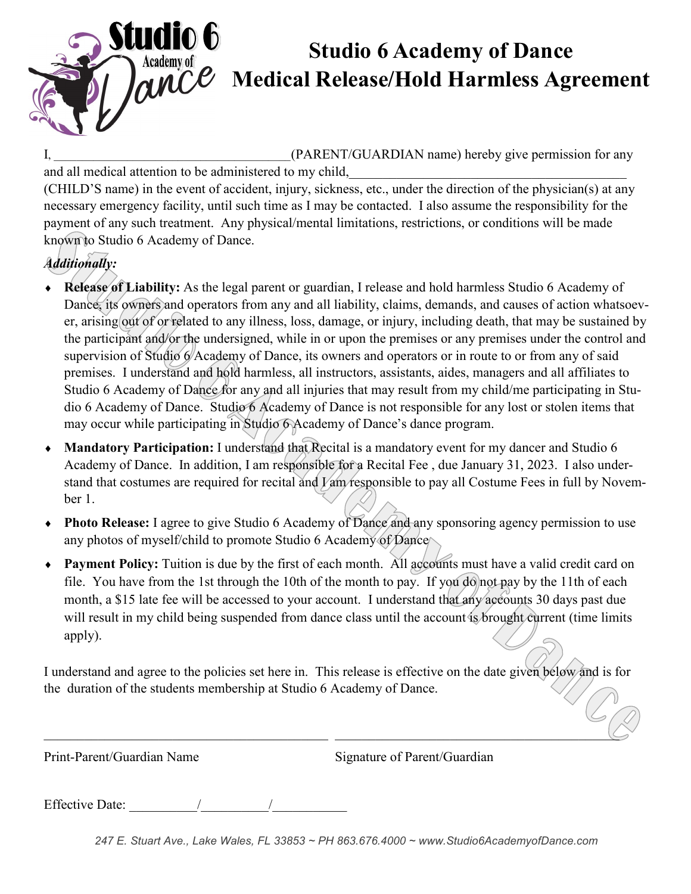

## **Studio 6 Academy of Dance MECO** Medical Release/Hold Harmless Agreement

I, The CHARENT/GUARDIAN name) hereby give permission for any

and all medical attention to be administered to my child,

(CHILD'S name) in the event of accident, injury, sickness, etc., under the direction of the physician(s) at any necessary emergency facility, until such time as I may be contacted. I also assume the responsibility for the payment of any such treatment. Any physical/mental limitations, restrictions, or conditions will be made known to Studio 6 Academy of Dance.

## *Additionally:*

- **Release of Liability:** As the legal parent or guardian, I release and hold harmless Studio 6 Academy of Dance, its owners and operators from any and all liability, claims, demands, and causes of action whatsoever, arising out of or related to any illness, loss, damage, or injury, including death, that may be sustained by the participant and/or the undersigned, while in or upon the premises or any premises under the control and supervision of Studio 6 Academy of Dance, its owners and operators or in route to or from any of said premises. I understand and hold harmless, all instructors, assistants, aides, managers and all affiliates to Studio 6 Academy of Dance for any and all injuries that may result from my child/me participating in Studio 6 Academy of Dance. Studio 6 Academy of Dance is not responsible for any lost or stolen items that may occur while participating in Studio 6 Academy of Dance's dance program.
- **Mandatory Participation:** I understand that Recital is a mandatory event for my dancer and Studio 6 Academy of Dance. In addition, I am responsible for a Recital Fee , due January 31, 2023. I also understand that costumes are required for recital and *V* am responsible to pay all Costume Fees in full by November 1.
- **Photo Release:** I agree to give Studio 6 Academy of Dance and any sponsoring agency permission to use any photos of myself/child to promote Studio 6 Academy of Dance
- **Payment Policy:** Tuition is due by the first of each month. All accounts must have a valid credit card on file. You have from the 1st through the 10th of the month to pay. If you do not pay by the 11th of each month, a \$15 late fee will be accessed to your account. I understand that any accounts 30 days past due will result in my child being suspended from dance class until the account is brought current (time limits apply).

I understand and agree to the policies set here in. This release is effective on the date given below and is for the duration of the students membership at Studio 6 Academy of Dance.

 $\Box$  . The contract of the contract of the contract of the contract of the contract of the contract of the contract of

Print-Parent/Guardian Name Signature of Parent/Guardian

Effective Date: \_\_\_\_\_\_\_\_\_\_/\_\_\_\_\_\_\_\_\_\_/\_\_\_\_\_\_\_\_\_\_\_

*247 E. Stuart Ave., Lake Wales, FL 33853 ~ PH 863.676.4000 ~ www.Studio6AcademyofDance.com*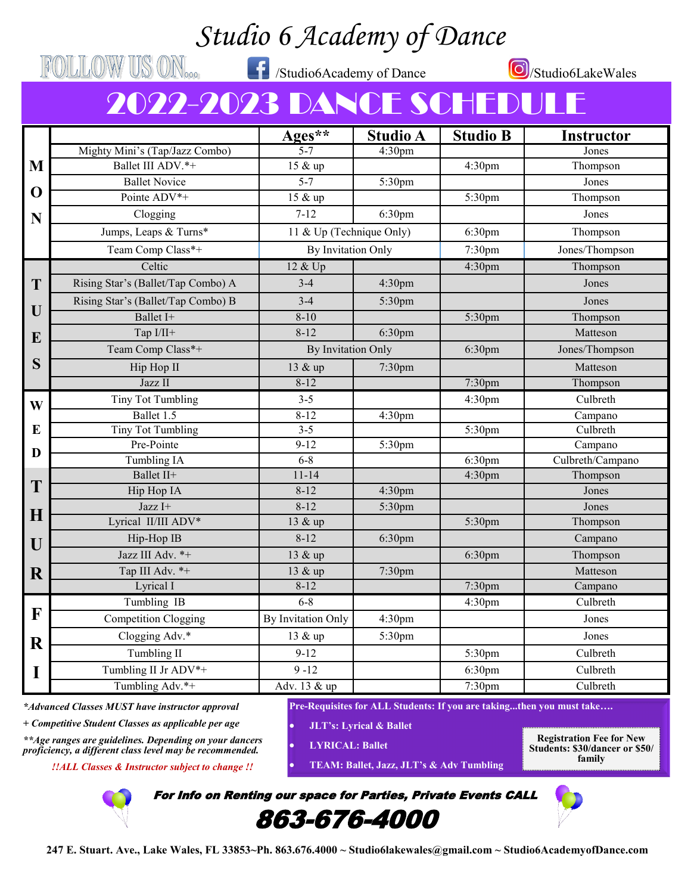# *Studio 6 Academy of Dance*

FOLLOW US ON<sub>000</sub> fxtudio6Academy of Dance

/Studio6LakeWales

# 2022-2023 DANCE SCHEDU

|             |                                    | $Ages***$                | <b>Studio A</b>    | <b>Studio B</b>    | <b>Instructor</b> |  |
|-------------|------------------------------------|--------------------------|--------------------|--------------------|-------------------|--|
|             | Mighty Mini's (Tap/Jazz Combo)     | $\frac{1}{5-7}$          | 4:30pm             |                    | Jones             |  |
| M           | Ballet III ADV.*+                  | 15 & up                  |                    | 4:30 <sub>pm</sub> | Thompson          |  |
|             | <b>Ballet Novice</b>               | $5 - 7$                  | 5:30pm             |                    | Jones             |  |
| $\mathbf 0$ | Pointe ADV <sup>*+</sup>           | 15 & up                  |                    | 5:30pm             | Thompson          |  |
| N           | Clogging                           | $7 - 12$                 | 6:30pm             |                    | Jones             |  |
|             | Jumps, Leaps & Turns*              | 11 & Up (Technique Only) |                    | 6:30pm             | Thompson          |  |
|             | Team Comp Class*+                  | By Invitation Only       |                    | 7:30 <sub>pm</sub> | Jones/Thompson    |  |
|             | Celtic                             | 12 & Up                  |                    | 4:30 <sub>pm</sub> | Thompson          |  |
| T           | Rising Star's (Ballet/Tap Combo) A | $3 - 4$                  | 4:30 <sub>pm</sub> |                    | Jones             |  |
|             | Rising Star's (Ballet/Tap Combo) B | $3-4$                    | 5:30pm             |                    | Jones             |  |
| U           | Ballet I+                          | $8 - 10$                 |                    | 5:30pm             | Thompson          |  |
| E           | Tap I/II+                          | $8 - 12$                 | 6:30pm             |                    | Matteson          |  |
|             | Team Comp Class*+                  | By Invitation Only       |                    | 6:30 <sub>pm</sub> | Jones/Thompson    |  |
| S           | Hip Hop II                         | 13 & up                  | 7:30pm             |                    | Matteson          |  |
|             | Jazz II                            | $8 - 12$                 |                    | 7:30pm             | Thompson          |  |
| W           | <b>Tiny Tot Tumbling</b>           | $3 - 5$                  |                    | 4:30pm             | Culbreth          |  |
|             | Ballet 1.5                         | $8 - 12$                 | 4:30 <sub>pm</sub> |                    | Campano           |  |
| E           | <b>Tiny Tot Tumbling</b>           | $3 - 5$                  |                    | 5:30pm             | Culbreth          |  |
| D           | Pre-Pointe                         | $9 - 12$                 | 5:30pm             |                    | Campano           |  |
|             | Tumbling IA                        | $6 - 8$                  |                    | 6:30 <sub>pm</sub> | Culbreth/Campano  |  |
| T           | Ballet II+                         | $11 - 14$                |                    | 4:30 <sub>pm</sub> | Thompson          |  |
|             | Hip Hop IA                         | $8 - 12$                 | 4:30 <sub>pm</sub> |                    | Jones             |  |
| H           | Jazz I+                            | $8 - 12$                 | 5:30pm             |                    | Jones             |  |
|             | Lyrical II/III ADV*                | 13 & up                  |                    | 5:30pm             | Thompson          |  |
| U           | Hip-Hop IB                         | $8 - 12$                 | 6:30pm             |                    | Campano           |  |
|             | Jazz III Adv. *+                   | 13 & up                  |                    | 6:30pm             | Thompson          |  |
| $\mathbf R$ | Tap III Adv. *+                    | 13 & up                  | 7:30 <sub>pm</sub> |                    | Matteson          |  |
|             | Lyrical I                          | $8 - 12$                 |                    | 7:30pm             | Campano           |  |
| F           | Tumbling IB                        | $6 - 8$                  |                    | 4:30 <sub>pm</sub> | Culbreth          |  |
|             | <b>Competition Clogging</b>        | By Invitation Only       | 4:30pm             |                    | Jones             |  |
| $\mathbf R$ | Clogging Adv.*                     | 13 & up                  | 5:30pm             |                    | Jones             |  |
|             | Tumbling II                        | $9 - 12$                 |                    | 5:30pm             | Culbreth          |  |
| I           | Tumbling II Jr ADV*+               | $9 - 12$                 |                    | 6:30pm             | Culbreth          |  |
|             | Tumbling Adv.*+                    | Adv. 13 & up             |                    | 7:30 <sub>pm</sub> | Culbreth          |  |

*\*Advanced Classes MUST have instructor approval*

*+ Competitive Student Classes as applicable per age*

*\*\*Age ranges are guidelines. Depending on your dancers proficiency, a different class level may be recommended.*

*!!ALL Classes & Instructor subject to change !!*

**Pre-Requisites for ALL Students: If you are taking...then you must take….**

- **JLT's: Lyrical & Ballet**
- **LYRICAL: Ballet**
	- **TEAM: Ballet, Jazz, JLT's & Adv Tumbling**

**Registration Fee for New Students: \$30/dancer or \$50/ family**